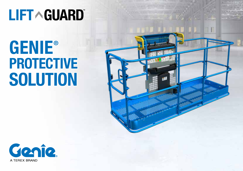# **LIFT ^ GUARD**

# GENIE ®PROTECTIVE **SOLUTION**



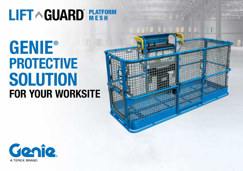### LIFT AGUARD REATFORM

## FOR YOUR WORKSITE GENIE ®PROTECTIVE **SOLUTION**